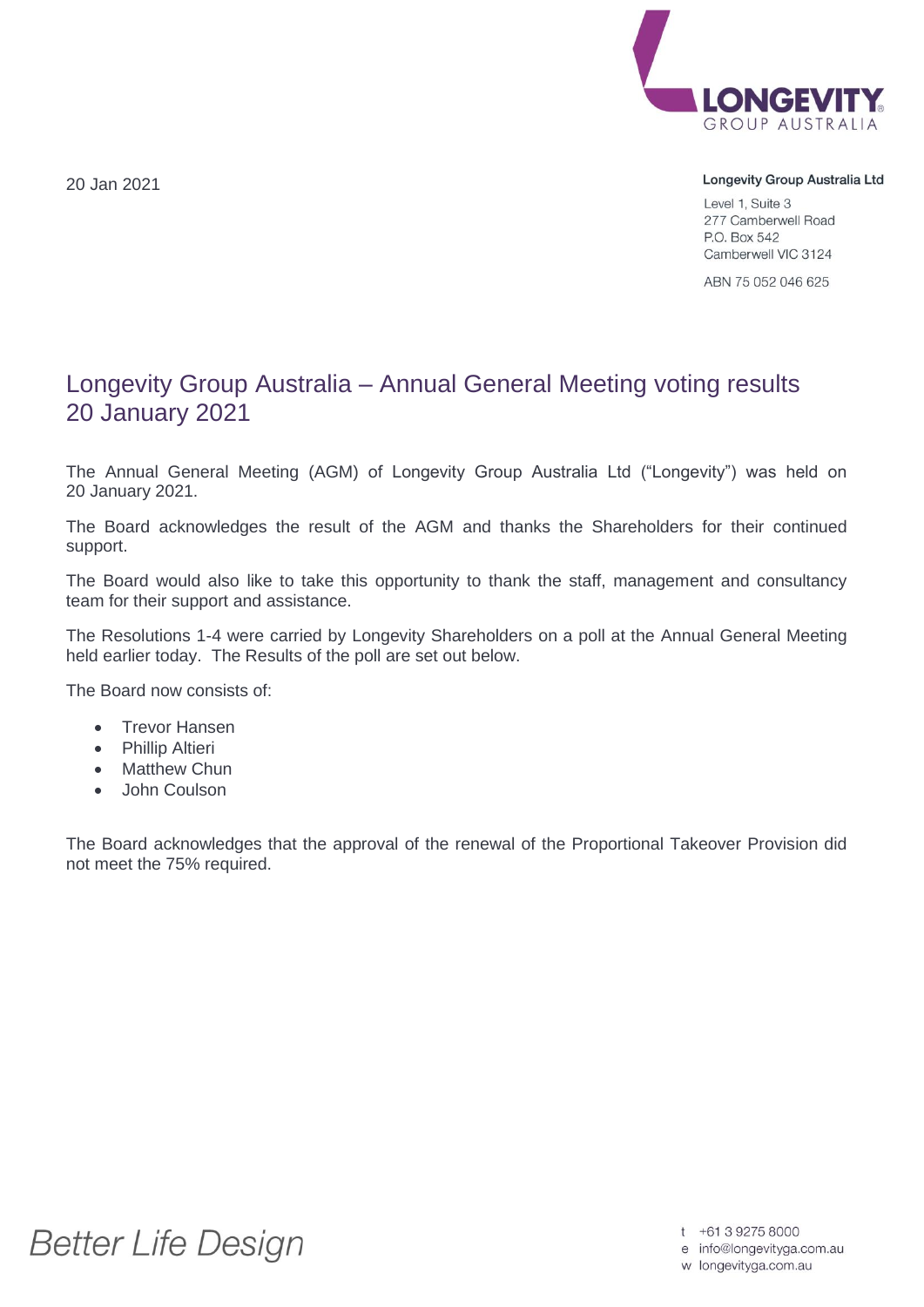20 Jan 2021



## Longevity Group Australia Ltd

Level 1, Suite 3 277 Camberwell Road P.O. Box 542 Camberwell VIC 3124

ABN 75 052 046 625

## Longevity Group Australia – Annual General Meeting voting results 20 January 2021

The Annual General Meeting (AGM) of Longevity Group Australia Ltd ("Longevity") was held on 20 January 2021.

The Board acknowledges the result of the AGM and thanks the Shareholders for their continued support.

The Board would also like to take this opportunity to thank the staff, management and consultancy team for their support and assistance.

The Resolutions 1-4 were carried by Longevity Shareholders on a poll at the Annual General Meeting held earlier today. The Results of the poll are set out below.

The Board now consists of:

- Trevor Hansen
- Phillip Altieri
- Matthew Chun
- John Coulson

The Board acknowledges that the approval of the renewal of the Proportional Takeover Provision did not meet the 75% required.

**Better Life Design** 

t +61 3 9275 8000

e info@longevityga.com.au

w longevityga.com.au